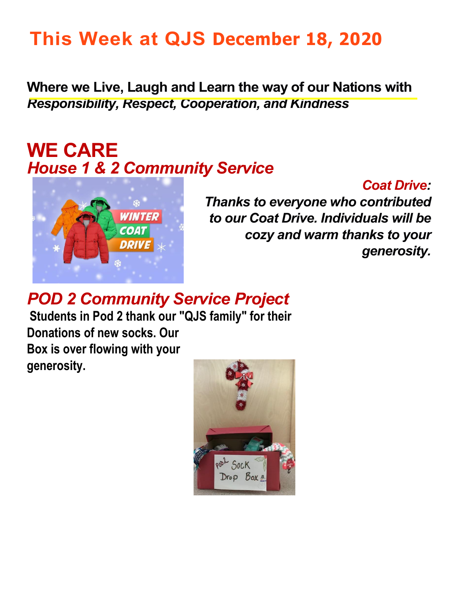# **This Week at QJS December 18, 2020**

**Where we Live, Laugh and Learn the way of our Nations with**  *Responsibility, Respect, Cooperation, and Kindness*

### **WE CARE** *House 1 & 2 Community Service*



*Thanks to everyone who contributed to our Coat Drive. Individuals will be cozy and warm thanks to your generosity.*

*Coat Drive:* 

#### *POD 2 Community Service Project*

**Students in Pod 2 thank our "QJS family" for their Donations of new socks. Our Box is over flowing with your generosity.**

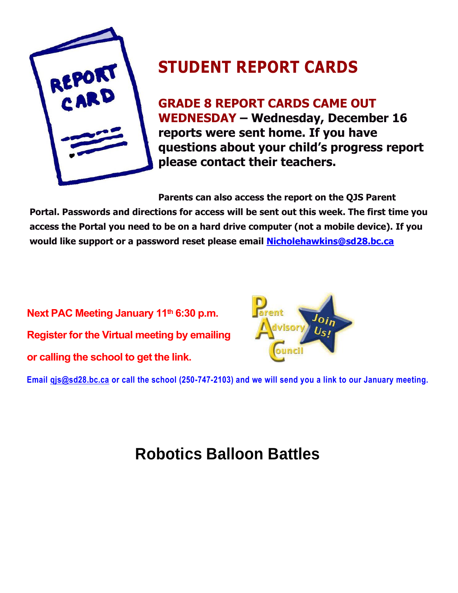

## **STUDENT REPORT CARDS**

**GRADE 8 REPORT CARDS CAME OUT WEDNESDAY – Wednesday, December 16 reports were sent home. If you have questions about your child's progress report please contact their teachers.**

**Parents can also access the report on the QJS Parent** 

**Portal. Passwords and directions for access will be sent out this week. The first time you access the Portal you need to be on a hard drive computer (not a mobile device). If you would like support or a password reset please email [Nicholehawkins@sd28.bc.ca](mailto:Nicholehawkins@sd28.bc.ca)**

**Next PAC Meeting January 11th 6:30 p.m. Register for the Virtual meeting by emailing or calling the school to get the link.**



**Email [qjs@sd28.bc.ca](mailto:qjs@sd28.bc.ca) or call the school (250-747-2103) and we will send you a link to our January meeting.** 

### **Robotics Balloon Battles**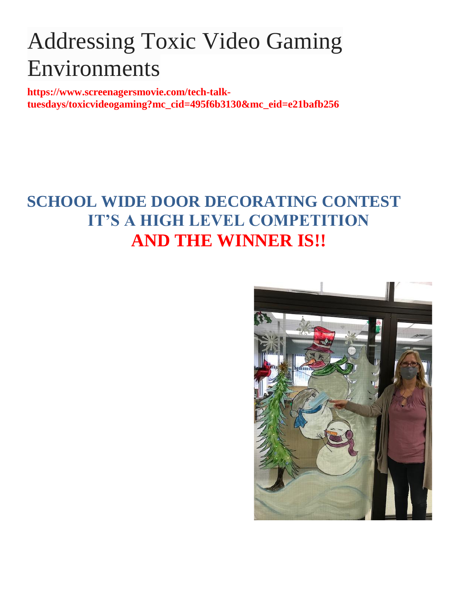# Addressing Toxic Video Gaming Environments

**https://www.screenagersmovie.com/tech-talktuesdays/toxicvideogaming?mc\_cid=495f6b3130&mc\_eid=e21bafb256**

## **SCHOOL WIDE DOOR DECORATING CONTEST IT'S A HIGH LEVEL COMPETITION AND THE WINNER IS!!**

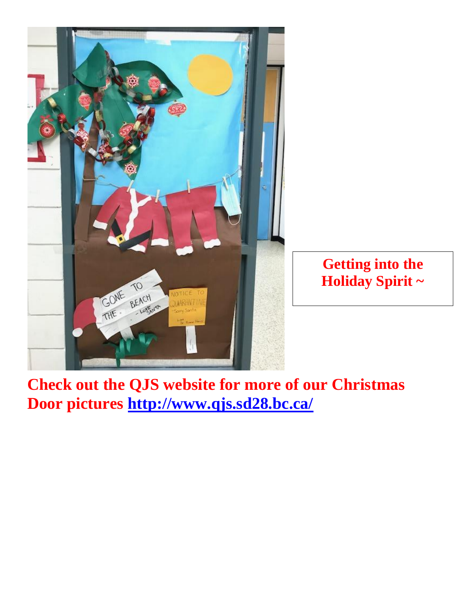

**Getting into the Holiday Spirit ~**

**Check out the QJS website for more of our Christmas Door pictures<http://www.qjs.sd28.bc.ca/>**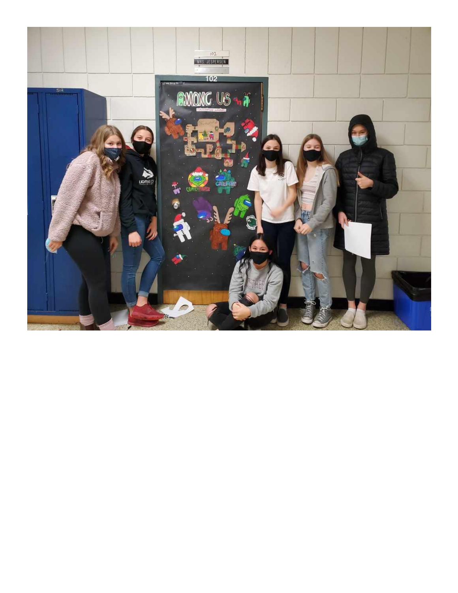